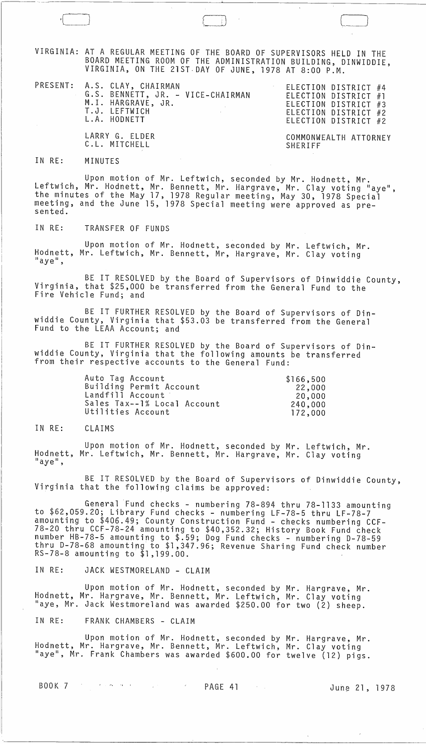VIRGINIA: AT A REGULAR MEETING OF THE BOARD OF SUPERVISORS HELD IN THE BOARD MEETING ROOM OF THE ADMINISTRATION BUILDING, DINWIDDIE, VIRGINIA, ON THE 21ST· DAY OF JUNE, 1978 AT 8:00 P.M.

| PRESENT: A.S. CLAY, CHAIRMAN<br>G.S. BENNETT, JR. - VICE-CHAIRMAN<br>M.I. HARGRAVE, JR.<br>T.J. LEFTWICH<br>$\mathcal{L}_{\text{max}}$ , where $\mathcal{L}_{\text{max}}$<br>L.A. HODNETT | ELECTION DISTRICT #4<br>ELECTION DISTRICT #1<br>ELECTION DISTRICT #3<br>ELECTION DISTRICT #2<br>ELECTION DISTRICT #2 |
|-------------------------------------------------------------------------------------------------------------------------------------------------------------------------------------------|----------------------------------------------------------------------------------------------------------------------|
| LARRY G. ELDER<br>C.L. MITCHELL                                                                                                                                                           | COMMONWEALTH ATTORNEY<br>SHERIFF                                                                                     |

## IN RE: MINUTES

Upon motion of Mr. Leftwich, seconded by Mr. Hodnett, Mr. Leftwich, Mr. Hodnett, Mr. Bennett, Mr. Hargrave, Mr. Clay voting "aye", the minutes of the May 17, 1978 Regular meeting, May 30, 1978 Special meeting, and the June 15, 1978 Special meeting were approved as pre-<br>sented.

IN RE: TRANSFER OF FUNDS

Upon motion of Mr. Hodnett, seconded by Mr. Leftwich, Mr. Hodnett, Mr. Leftwich, Mr. Bennett, Mr, Hargrave, Mr. Clay voting "aye" ,

BE IT RESOLVED by the Board of Supervisors of Dinwiddie County, Virginia, that \$25,000 be transferred from the General Fund to the Fire Vehicle Fund; and

BE IT FURTHER RESOLVED by the Board of Supervisors of Dinwiddie County, Virginia that \$53.03 be transferred from the General Fund to the LEAA Account; and

BE IT FURTHER RESOLVED by the Board of Supervisors of Dinwiddie County, Virginia that the following amounts be transferred from their respective accounts to the General Fund:

| Auto Tag Account            | \$166,500 |
|-----------------------------|-----------|
| Building Permit Account     | 22,000    |
| Landfill Account            | 20,000    |
| Sales Tax--1% Local Account | 240,000   |
| Utilities Account           | 172,000   |

## IN RE: CLAIMS

Upon motion of Mr. Hodnett, seconded by Mr. Leftwich, Mr. Hodnett, Mr. Leftwich, Mr. Bennett, Mr. Hargrave, Mr. Clay voting "aye",

BE IT RESOLVED by the Board of Supervisors of Dinwiddie County,<br>Virginia that the following claims be approved:

General Fund checks - numbering 78-894 thru 78-1133 amounting to \$62,059.20; Library Fund checks - numbering LF-78-5 thru LF-78-7 amounting to \$406.49; County Construction Fund - checks numbering CCF-78-20 thru CCF-78-24 amounting to \$40,352.32; History Book Fund check number HB-78-5 amounting to \$.59; Dog Fund checks - numbering 0-78-59 thru 0-78-68 amounting to \$1,347.96; Revenue Sharing Fund check number RS-78-8 amounting to \$1,199.00.

IN RE: JACK WESTMORELAND - CLAIM

Upon motion of Mr. Hodnett, seconded by Mr. Hargrave, Mr. Hodnett, Mr. Hargrave, Mr. Bennett, Mr. Leftwich, Mr. Clay voting "aye, Mr. Jack Westmoreland was awarded \$250.00 for two (2) sheep.

IN RE: FRANK CHAMBERS - CLAIM

Upon motion of Mr. Hodnett, seconded by Mr. Hargrave, Mr. Hodnett, Mr. Hargrave, Mr. Bennett, Mr. Leftwich, Mr. Clay voting "aye", Mr. Frank Chambers was awarded \$600.00 for twelve (12) pigs.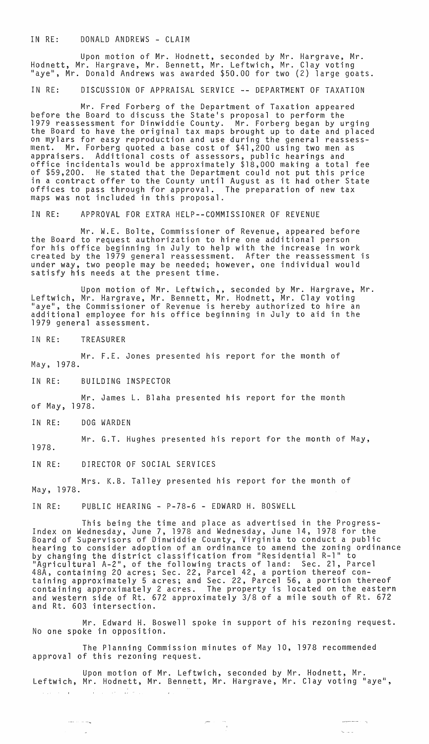IN RE: DONALD ANDREWS - CLAIM

Upon motion of Mr. Hodnett, seconded by Mr. Hargrave, Mr. Hodnett, Mr. Hargrave, Mr. Bennett, Mr. Leftwich, Mr. Clay voting "aye", Mr. Donald Andrews was awarded \$50.00 for two (2) large goats.

IN RE: DISCUSSION OF APPRAISAL SERVICE -- DEPARTMENT OF TAXATION

Mr. Fred Forberg of the Department of Taxation appeared before the Board to discuss the State's proposal to perform the 1979 reassessment for Dinwiddie County. Mr. Forberg began by urging<br>the Board to have the original tax maps brought up to date and placed on mylars for easy reproduction and use during the general reassessment. Mr. Forberg quoted a base cost of \$41,200 using two men as appraisers. Additional costs of assessors, public hearings and office incidentals would be approximately \$18,000 making a total fee of \$59,200. He stated that the Department could not put this price in a contract offer to the County until August as it had other State offices to pass through for approval. The preparation of new tax maps was not included in this proposal.

IN RE: APPROVAL FOR EXTRA HELP--COMMISSIONER OF REVENUE

Mr. W.E. Bolte, Commissioner of Revenue, appeared before the Board to request authorization to hire one additional person for his office beginning in July to help with the increase in work created by the 1979 general reassessment. After the reassessment is under way, two people may be needed; however, one individual would satisfy his needs at the present time.

Upon motion of Mr. Leftwich,, seconded by Mr. Hargrave, Mr. Leftwich, Mr. Hargrave, Mr. Bennett, Mr. Hodnett, Mr. Clay voting "aye", the Commissioner of Revenue is hereby authorized to hire an additional employee for his office beginning in July to aid in the 1979 general assessment.

IN RE: TREASURER

Mr. F.E. Jones presented his report for the month of May, 1978.

IN RE: BUILDING INSPECTOR

Mr. James L. Blaha presented his report for the month of May, 1978.

IN RE: DOG WARDEN

1978. Mr. G.T. Hughes presented his report for the month of May,

IN RE: DIRECTOR OF SOCIAL SERVICES

Mrs. K.B. Talley presented his report for the month of May, 1978.

IN RE: PUBLIC HEARING - P-78-6 - EDWARD H. BOSWELL

This being the time and place as advertised in the Progress-Index on Wednesday, June 7, 1978 and Wednesday, June 14, 1978 for the Board of Supervisors of Dinwiddie County, Virginia to conduct a public<br>hearing to consider adoption of an ordinance to amend the zoning ordinance by changing the district classification from "Residential R-l" to "Agricultural A-2", of the following tracts of land: Sec. 21, Parcel 48A, containing 20 acres; Sec. 22, Parcel 42, a portion thereof containing approximately 5 acres; and Sec. 22, Parcel 56, a portion thereof containing approximately 2 acres. The property is located on the eastern and western side of Rt. 672 approximately 3/8 of a mile south of Rt. 672 and Rt. 603 intersection.

Mr. Edward H. Boswell spoke in support of his rezoning request. No one spoke in opposition.

The Planning Commission minutes of May 10, 1978 recommended approval of this rezoning request.

Upon motion of Mr. Leftwich, seconded by Mr. Hodnett, Mr. Leftwich, Mr. Hodnett, Mr. Bennett, Mr. Hargrave, Mr. Clay voting "aye",  $\mathcal{A}$  is a set of the set of the set of the set of the set of the set of the set of the set of the set of the set of the set of the set of the set of the set of the set of the set of the set of the set of the set of th

 $\label{eq:2.1} \frac{1}{\sqrt{2\pi}}\frac{1}{\sqrt{2\pi}}\frac{1}{\sqrt{2\pi}}\frac{1}{\sqrt{2\pi}}\frac{1}{\sqrt{2\pi}}\frac{1}{\sqrt{2\pi}}\frac{1}{\sqrt{2\pi}}\frac{1}{\sqrt{2\pi}}\frac{1}{\sqrt{2\pi}}\frac{1}{\sqrt{2\pi}}\frac{1}{\sqrt{2\pi}}\frac{1}{\sqrt{2\pi}}\frac{1}{\sqrt{2\pi}}\frac{1}{\sqrt{2\pi}}\frac{1}{\sqrt{2\pi}}\frac{1}{\sqrt{2\pi}}\frac{1}{\sqrt{2\pi}}\frac{1}{\sqrt$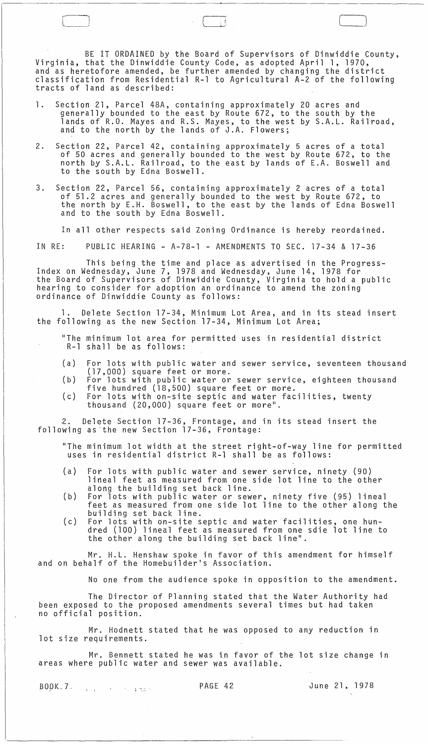BE IT ORDAINED by the Board of Supervisors of Dinwiddie County, Virginia, that the Dinwiddie County Code, as adopted April 1, 1970, and as heretofore amended, be further amended by changing the district classification from Residential R-l to Agricultural A-2 of the followihg tracts of land as described:

 $\Box$ 

- 1. Section 21, Parcel 48A, containing approximately 20 acres and generally bounded to the east by Route 672, to the south by the lands of R.O. Mayes and R.S. Mayes, to the west by S.A.L. Railroad, and to the north by the lands of J.A. Flowers;
- 2. Section 22, Parcel 42, containing approximately 5 acres of a total of 50 acres and generally bounded to the west by Route 672, to the north by S.A.L. Railroad, to the east by lands of E.A. Boswell and to the south by Edna Boswell.
- 3. Section 22, Parcel 56, containing approximately 2 acres of a total of 51.2 acres and generally bounded to the west by Route 672, to the north by E.H. Boswell, to the east by the lands of Edna Boswell and to the south by Edna Boswell.

In all other respects said Zoning Ordinance is hereby reordained.

IN RE: PUBLIC HEARING - A-78-1 - AMENDMENTS TO SEC. 17-34 & 17-36

This being the time and place as advertised in the Progress- Index on Wednesday~ June 7, 1978 and Wednesday, June 14, 1978 for the Board of Supervisors of Dinwiddie County, Virginia to hold a public hearing to consider for adoption an ordinance to amend the zoning ordinance of Dinwiddie County as follows:

Delete Section 17-34, Minimum Lot Area, and in its stead insert the following as the new Section 17-34, Minimum Lot Area;

"The minimum lot area for permitted uses in residential district R-l shall be as follows:

- ( a ) For lots with public water and sewer service, seventeen thousand (17,000) square feet or more.
- $(b)$ For lots with public water or sewer service, eighteen thousand five hundred (18,500) square feet or more.
- $(c)$ For lots with on-site septic and water facilities, twenty thousand (20,000) square feet or more".

2. Delete Section 17-36, Frontage, and in its stead insert the following as the new Section 17-36, Frontage:

"The minimum lot width at the street right-of-way line for permitted uses in residential district R-l shall be as follows:

- (a) For lots with public water and sewer service, ninety (90) lineal feet as measured from one side lot line to the other along the building set back line.
- (b) For lots with public water or sewer, ninety five (95) lineal feet as measured from one side lot line to the other along the building set back line.
- (c) For lots with on-site septic and water facilities, one hundred (100) lineal feet as measured from one sdie lot line to the other along the building set back line".

Mr. H.L. Henshaw spoke in favor of this amendment for himself and on behalf of the Homebuilder's Association.

No one from the audience spoke in opposition to the amendment.

The Director of Planning stated that the Water Authority had been exposed to the proposed amendments several times but had taken no official position.

Mr. Hodnett stated that he was opposed to any reduction in lot size requirements.

Mr. Bennett stated he was in favor of the lot size change in areas where public water and sewer was available.

SOpK .. 7.. PAGE 42 June 21, 1978 J ,

 $\sim$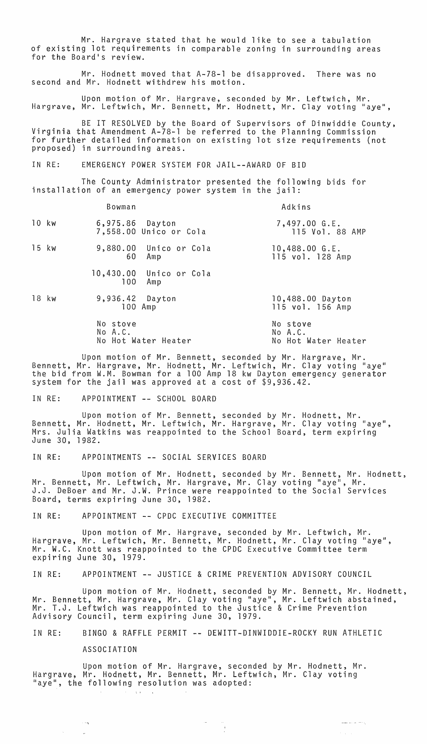Mr. Hargrave stated that he would like to see a tabulation of existing lot requirements in comparable zoning in surrounding areas for the Board's review.

Mr. Hodnett moved that A-78-1 be disapproved. There was no second and Mr. Hodnett withdrew his motion.

Upon motion of Mr. Hargrave, seconded by Mr. Leftwich, Mr. Hargrave, Mr. Leftwich, Mr. Bennett, Mr. Hodnett, Mr. Clay voting "aye",

BE IT RESOLVED by the Board of Supervisors of Dinwiddie County, Virginia that Amendment A-78-1 be referred to the Planning Commission for further detailed information on existing lot size requirements (not proposed) in surrounding areas.

IN RE: EMERGENCY POWER SYSTEM FOR JAIL--AWARD OF BID

The County Administrator presented the following bids for installation of an emergency power system in the jail:

|       | Bowman                                             | Adkins                                     |
|-------|----------------------------------------------------|--------------------------------------------|
| 10 kw | 6,975.86 Dayton<br>7,558.00 Unico or Cola          | 7,497.00 G.E.<br>115 Vol. 88 AMP           |
| 15 kw | 9,880.00 Unico or Cola<br>60<br>Amp                | $10,488.00$ G.E.<br>115 vol. 128 Amp       |
|       | 10,430.00 Unico or Cola<br>100 <sub>1</sub><br>Amp |                                            |
| 18 kw | 9,936.42 Dayton<br>100 Amp                         | 10,488.00 Dayton<br>115 vol. 156 Amp       |
|       | No stove<br>No A.C.<br>No Hot Water Heater         | No stove<br>No A.C.<br>No Hot Water Heater |

Upon motion of Mr. Bennett, seconded by Mr. Hargrave, Mr. Bennett, Mr. Hargrave, Mr. Hodnett, Mr. Leftwich, Mr. Clay voting "aye" the bid from W.M. Bowman for a 100 Amp 18 kw Dayton emergency generator system for the jail was approved at a cost of \$9,936.42.

IN RE: APPOINTMENT -- SCHOOL BOARD

Upon motion of Mr. Bennett, seconded by Mr. Hodnett, Mr. Bennett, Mr. Hodnett, Mr. Leftwich, Mr. Hargrave, Mr. Clay voting "aye", Mrs. Julia Watkins was reappointed to the School Board, term expiring June 30, 1982.

IN RE: APPOINTMENTS -- SOCIAL SERVICES BOARD

Upon motion of Mr. Hodnett, seconded by Mr. Bennett, Mr. Hodnett,<br>t, Mr. Leftwich, Mr. Hargrave, Mr. Clay voting "aye", Mr. Mr. Bennett, Mr. Leftwich, Mr. Hargrave, Mr. Clay voting "aye" J.J. DeBoer and Mr. J.W. Prince were reappointed to the Social Services Board, terms expiring June 30, 1982.

IN RE: APPOINTMENT -- CPDC EXECUTIVE COMMITTEE

Upon motion of Mr. Hargrave, seconded by Mr. Leftwich, Mr. Hargrave, Mr. Leftwich, Mr. Bennett, Mr. Hodnett, Mr. Clay voting "aye", Mr. W.C. Knott was reappointed to the CPDC Executive Committee term expiring June 30, 1979.

IN RE: APPOINTMENT -- JUSTICE & CRIME PREVENTION ADVISORY COUNCIL

Upon motion of Mr. Hodnett, seconded by Mr. Bennett, Mr. Hodnett, Mr. Bennett, Mr. Hargrave, Mr. Clay voting "aye", Mr. Leftwich abstained, Mr. T.J. Leftwich was reappointed to the Justice & Crime Prevention Advisory Council, term expiring June 30, 1979.

 $\frac{1}{2}$ 

أرباب المادين للمنبر

 $\mathcal{O}(\log n / n)$ 

IN RE: BINGO & RAFFLE PERMIT -- DEWITT-DINWIDDIE-ROCKY RUN ATHLETIC

ASSOCIATION

 $\mathcal{L}_{\mathcal{A}}$ 

Upon motion of Mr. Hargrave, seconded by Mr. Hodnett, Mr. Hargrave, Mr. Hodnett, Mr. Bennett, Mr. Leftwich, Mr. Clay voting "aye", the following resolution was adopted: **Carl Corp.**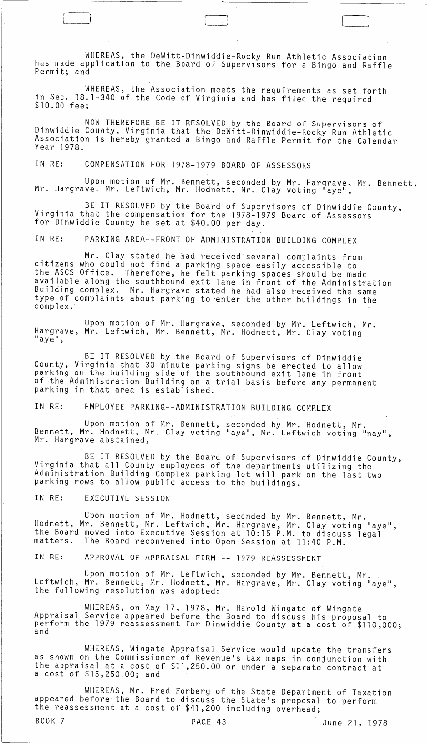WHEREAS, the DeWitt-Dinwiddie-Rocky Run Athletic Association has made application to the Board of Supervisors for a Bingo and Raffle Permit; and

WHEREAS, the Association meets the requirements as set forth in Sec. 18.1-340 of the Code of Virginia and has filed the required<br>\$10.00 fee:

NOW THEREFORE BE IT RESOLVED by the Board of Supervisors of Dinwiddie County, Virginia that the DeWitt-Dinwiddie-Rocky Run Athletic Association is hereby granted a Bingo and Raffle Permit for the Calendar Year 1978.

IN RE: COMPENSATION FOR 1978-1979 BOARD OF ASSESSORS

Upon motion of Mr. Bennett, seconded by Mr. Hargrave, Mr. Bennett, Mr. Hargrave- Mr. Leftwich, Mr. Hodnett, Mr. Clay voting "aye",

BE IT RESOLVED by the Board of Supervisors of Dinwiddie County, Virginia that the compensation for the 1978-1979 Board of Assessors for Dinwiddie County be set at \$40.00 per day.

IN RE: PARKING AREA--FRONT OF ADMINISTRATION BUILDING COMPLEX

Mr. Clay stated he had received several complaints from citizens who could not find a parking space easily accessible to the ASCS Office. Therefore, he felt parking spaces should be made available along the southbound exit lane in front of the Administration Building complex. Mr. Hargrave stated he had also received the same type of complaints about parking to 'enter the other buildings in the complex.'

Upon motion of Mr. Hargrave, seconded by Mr. Leftwich, Mr. Hargrave, Mr. Leftwich, Mr. Bennett, Mr. Hodnett, Mr. Clay voting "aye",

BE IT RESOLVED by the Board of Supervisors of Dinwiddie County, Virginia that 30 minute parking signs be erected to allow parking on the building side of the southbound exit lane in front of the Administration Building on a trial basis before any permanent<br>parking in that area is established.

IN RE: EMPLOYEE PARKING--ADMINISTRATION BUILDING COMPLEX

Upon motion of Mr. Bennett, seconded by Mr. Hodnett, Mr. Bennett, Mr. Hodnett, Mr. Clay voting "aye", Mr. Leftwich voting "nay",<br>Mr. Hargrave abstained,

BE IT RESOLVED by the Board of Supervisors of Dinwiddie County, Virginia that all County employees of the departments utilizing the Administration Building Complex parking lot will park on the last two parking rows to allow public access to the buildings.

## IN RE: EXECUTIVE SESSION

Upon motion of Mr. Hodnett, seconded by Mr. Bennett, Mr. Hodnett, Mr.' Bennett, Mr. Leftwich, Mr. Hargrave, Mr. Clay voting "aye", the Board moved into Executive Session at 10:15 P.M. to discuss legal<br>matters. The Board reconvened into Open Session at 11:40 P M The Board reconvened into Open Session at 11:40 P.M.

IN RE: APPROVAL OF APPRAISAL FIRM **--** 1979 REASSESSMENT

Upon motion of Mr. Leftwich, seconded by Mr. Bennett, Mr. Leftwich, Mr. Bennett, Mr. Hodnett, Mr. Hargrave, Mr. Clay voting "aye",<br>the following resolution was adopted:

WHEREAS, on May 17, 1978, Mr. Harold Wingate of Wingate Appraisal Service appeared before the Board to discuss his proposal to perform the 1979 reassessment for Dinwiddie County at a cost of \$110,000;<br>and

WHEREAS, Wingate Appraisal Service would update the transfers as shown on the Commissioner of Revenue's tax maps in conjunction with the appraisal at a cost of \$11,250.00 or under a separate contract at a cost of \$15,250.00; and

WHEREAS, Mr. Fred Forberg of the State Department of Taxation<br>appeared before the Board to discuss the State's proposal to perform the reassessment at a cost of \$41,200 including overhead;

BOOK 7 PAGE 43 June 21, 1978

l\_l